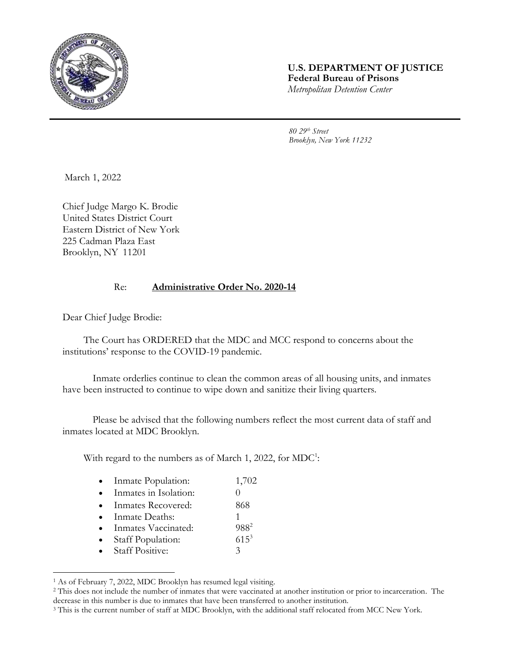

## **U.S. DEPARTMENT OF JUSTICE Federal Bureau of Prisons** *Metropolitan Detention Center*

*80 29th Street Brooklyn, New York 11232*

March 1, 2022

Chief Judge Margo K. Brodie United States District Court Eastern District of New York 225 Cadman Plaza East Brooklyn, NY 11201

## Re: **Administrative Order No. 2020-14**

Dear Chief Judge Brodie:

l

The Court has ORDERED that the MDC and MCC respond to concerns about the institutions' response to the COVID-19 pandemic.

Inmate orderlies continue to clean the common areas of all housing units, and inmates have been instructed to continue to wipe down and sanitize their living quarters.

Please be advised that the following numbers reflect the most current data of staff and inmates located at MDC Brooklyn.

With regard to the numbers as of March 1, 2022, for MDC<sup>1</sup>:

| Inmate Population: | 1,702 |
|--------------------|-------|
|--------------------|-------|

- Inmates in Isolation: 0
- Inmates Recovered: 868
- Inmate Deaths: 1
- Inmates Vaccinated: 988<sup>2</sup>
- Staff Population: 615<sup>3</sup>
- Staff Positive: 3

<sup>1</sup> As of February 7, 2022, MDC Brooklyn has resumed legal visiting.

<sup>2</sup> This does not include the number of inmates that were vaccinated at another institution or prior to incarceration. The decrease in this number is due to inmates that have been transferred to another institution.

<sup>&</sup>lt;sup>3</sup> This is the current number of staff at MDC Brooklyn, with the additional staff relocated from MCC New York.